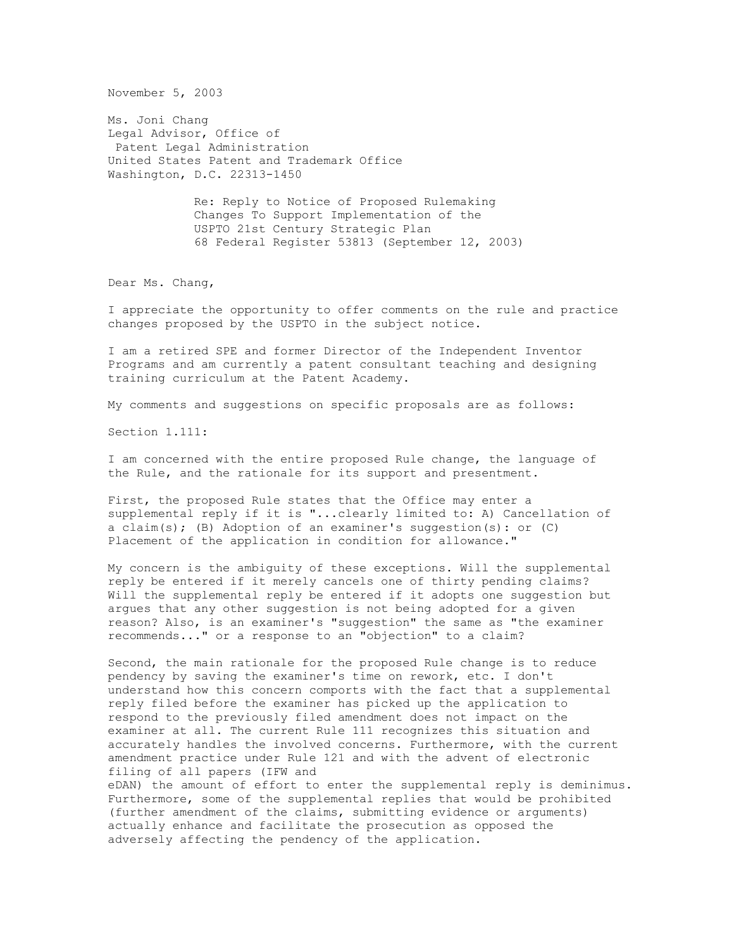November 5, 2003

Ms. Joni Chang Legal Advisor, Office of Patent Legal Administration United States Patent and Trademark Office Washington, D.C. 22313-1450

> Re: Reply to Notice of Proposed Rulemaking Changes To Support Implementation of the USPTO 21st Century Strategic Plan 68 Federal Register 53813 (September 12, 2003)

Dear Ms. Chang,

I appreciate the opportunity to offer comments on the rule and practice changes proposed by the USPTO in the subject notice.

I am a retired SPE and former Director of the Independent Inventor Programs and am currently a patent consultant teaching and designing training curriculum at the Patent Academy.

My comments and suggestions on specific proposals are as follows:

Section 1.111:

I am concerned with the entire proposed Rule change, the language of the Rule, and the rationale for its support and presentment.

First, the proposed Rule states that the Office may enter a supplemental reply if it is "...clearly limited to: A) Cancellation of a claim(s); (B) Adoption of an examiner's suggestion(s): or (C) Placement of the application in condition for allowance."

My concern is the ambiguity of these exceptions. Will the supplemental reply be entered if it merely cancels one of thirty pending claims? Will the supplemental reply be entered if it adopts one suggestion but argues that any other suggestion is not being adopted for a given reason? Also, is an examiner's "suggestion" the same as "the examiner recommends..." or a response to an "objection" to a claim?

Second, the main rationale for the proposed Rule change is to reduce pendency by saving the examiner's time on rework, etc. I don't understand how this concern comports with the fact that a supplemental reply filed before the examiner has picked up the application to respond to the previously filed amendment does not impact on the examiner at all. The current Rule 111 recognizes this situation and accurately handles the involved concerns. Furthermore, with the current amendment practice under Rule 121 and with the advent of electronic filing of all papers (IFW and

eDAN) the amount of effort to enter the supplemental reply is deminimus. Furthermore, some of the supplemental replies that would be prohibited (further amendment of the claims, submitting evidence or arguments) actually enhance and facilitate the prosecution as opposed the adversely affecting the pendency of the application.